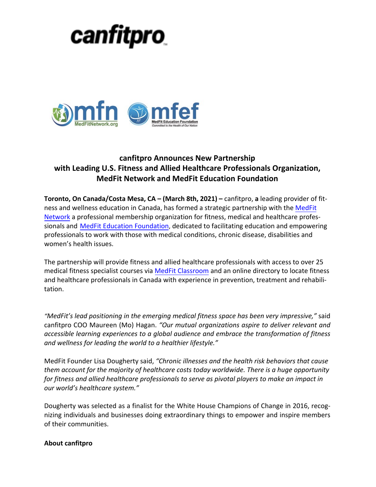# *canfitpro*



## **canfitpro Announces New Partnership with Leading U.S. Fitness and Allied Healthcare Professionals Organization, MedFit Network and MedFit Education Foundation**

**Toronto, On Canada/Costa Mesa, CA – (March 8th, 2021) –** canfitpro, **a** leading provider of fitness and wellness education in Canada, has formed a strategic partnership with the [MedFit](http://www.medfitnetwork.org/)  [Network](http://www.medfitnetwork.org/) a professional membership organization for fitness, medical and healthcare professionals and [MedFit Education Foundation](https://medfited.org/), dedicated to facilitating education and empowering professionals to work with those with medical conditions, chronic disease, disabilities and women's health issues.

The partnership will provide fitness and allied healthcare professionals with access to over 25 medical fitness specialist courses via [MedFit Classroom](http://www.medfitclassroom.org/) and an online directory to locate fitness and healthcare professionals in Canada with experience in prevention, treatment and rehabilitation.

*"MedFit's lead positioning in the emerging medical fitness space has been very impressive,"* said canfitpro COO Maureen (Mo) Hagan. *"Our mutual organizations aspire to deliver relevant and accessible learning experiences to a global audience and embrace the transformation of fitness and wellness for leading the world to a healthier lifestyle."* 

MedFit Founder Lisa Dougherty said, *"Chronic illnesses and the health risk behaviors that cause them account for the majority of healthcare costs today worldwide. There is a huge opportunity for fitness and allied healthcare professionals to serve as pivotal players to make an impact in our world's healthcare system."* 

Dougherty was selected as a finalist for the White House Champions of Change in 2016, recognizing individuals and businesses doing extraordinary things to empower and inspire members of their communities.

### **About canfitpro**